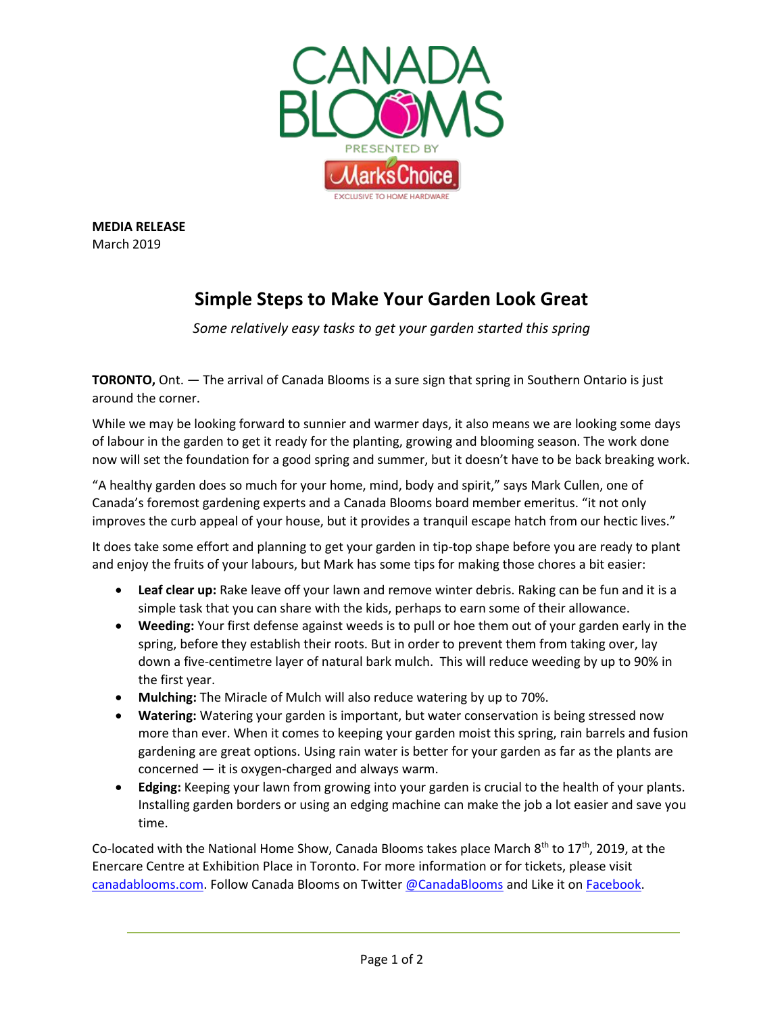

**MEDIA RELEASE** March 2019

## **Simple Steps to Make Your Garden Look Great**

*Some relatively easy tasks to get your garden started this spring*

**TORONTO,** Ont. — The arrival of Canada Blooms is a sure sign that spring in Southern Ontario is just around the corner.

While we may be looking forward to sunnier and warmer days, it also means we are looking some days of labour in the garden to get it ready for the planting, growing and blooming season. The work done now will set the foundation for a good spring and summer, but it doesn't have to be back breaking work.

"A healthy garden does so much for your home, mind, body and spirit," says Mark Cullen, one of Canada's foremost gardening experts and a Canada Blooms board member emeritus. "it not only improves the curb appeal of your house, but it provides a tranquil escape hatch from our hectic lives."

It does take some effort and planning to get your garden in tip-top shape before you are ready to plant and enjoy the fruits of your labours, but Mark has some tips for making those chores a bit easier:

- **Leaf clear up:** Rake leave off your lawn and remove winter debris. Raking can be fun and it is a simple task that you can share with the kids, perhaps to earn some of their allowance.
- **Weeding:** Your first defense against weeds is to pull or hoe them out of your garden early in the spring, before they establish their roots. But in order to prevent them from taking over, lay down a five-centimetre layer of natural bark mulch. This will reduce weeding by up to 90% in the first year.
- **Mulching:** The Miracle of Mulch will also reduce watering by up to 70%.
- **Watering:** Watering your garden is important, but water conservation is being stressed now more than ever. When it comes to keeping your garden moist this spring, rain barrels and fusion gardening are great options. Using rain water is better for your garden as far as the plants are concerned — it is oxygen-charged and always warm.
- **Edging:** Keeping your lawn from growing into your garden is crucial to the health of your plants. Installing garden borders or using an edging machine can make the job a lot easier and save you time.

Co-located with the National Home Show, Canada Blooms takes place March  $8^{th}$  to 17<sup>th</sup>, 2019, at the Enercare Centre at Exhibition Place in Toronto. For more information or for tickets, please visit [canadablooms.com.](http://www.canadablooms.com/) Follow Canada Blooms on Twitte[r @CanadaBlooms](http://www.twitter.com/canadablooms) and Like it o[n Facebook.](http://www.facebook.com/canadablooms)